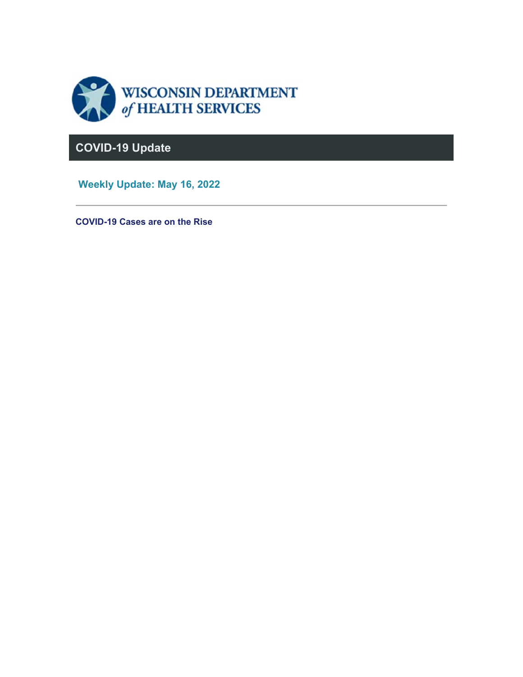

# **COVID-19 Update**

 **Weekly Update: May 16, 2022** 

**COVID-19 Cases are on the Rise**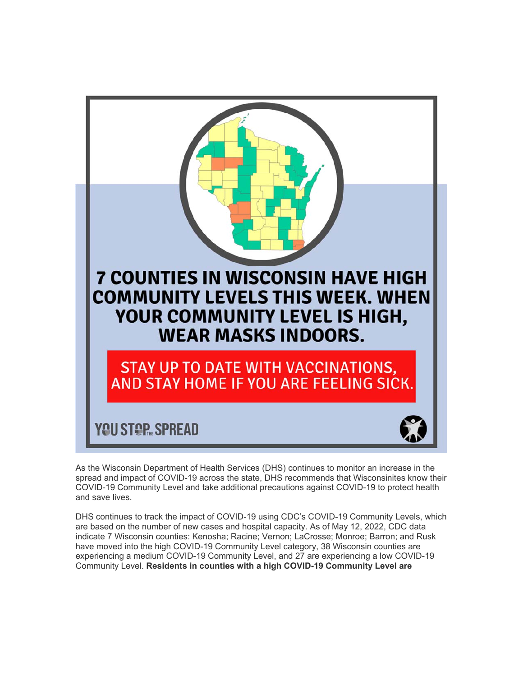

As the Wisconsin Department of Health Services (DHS) continues to monitor an increase in the spread and impact of COVID-19 across the state, DHS recommends that Wisconsinites know their COVID-19 Community Level and take additional precautions against COVID-19 to protect health and save lives.

DHS continues to track the impact of COVID-19 using CDC's COVID-19 Community Levels, which are based on the number of new cases and hospital capacity. As of May 12, 2022, CDC data indicate 7 Wisconsin counties: Kenosha; Racine; Vernon; LaCrosse; Monroe; Barron; and Rusk have moved into the high COVID-19 Community Level category, 38 Wisconsin counties are experiencing a medium COVID-19 Community Level, and 27 are experiencing a low COVID-19 Community Level. **Residents in counties with a high COVID-19 Community Level are**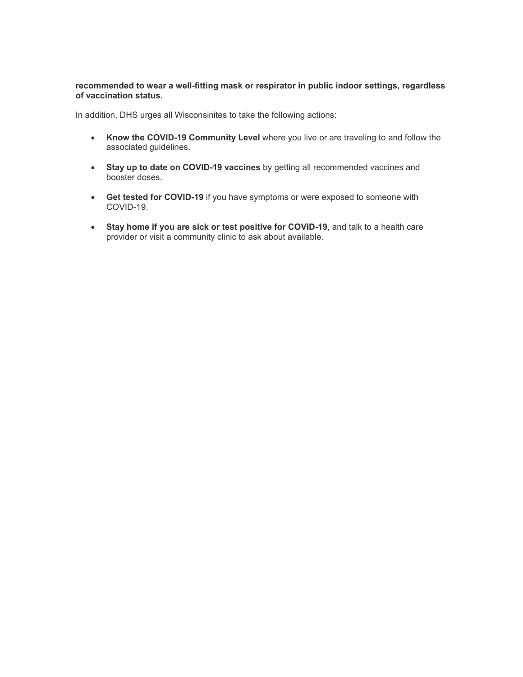#### **recommended to wear a well-fitting mask or respirator in public indoor settings, regardless of vaccination status.**

In addition, DHS urges all Wisconsinites to take the following actions:

- **Know the COVID-19 Community Level** where you live or are traveling to and follow the associated guidelines.
- **Stay up to date on COVID-19 vaccines** by getting all recommended vaccines and booster doses.
- **Get tested for COVID-19** if you have symptoms or were exposed to someone with COVID-19.
- **Stay home if you are sick or test positive for COVID-19**, and talk to a health care provider or visit a community clinic to ask about available.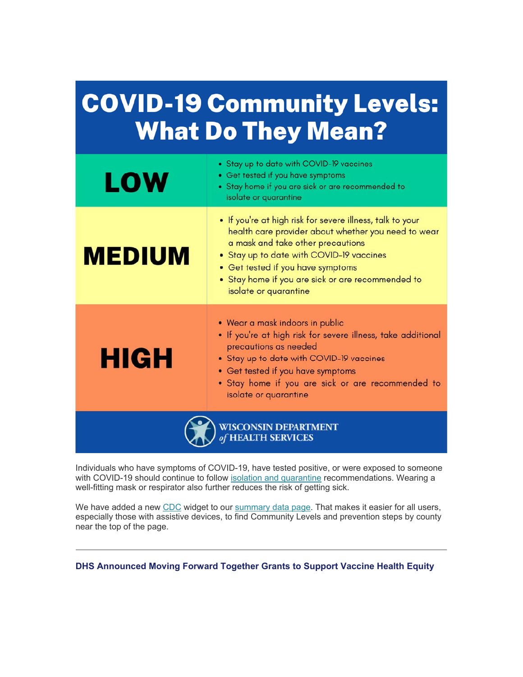# **COVID-19 Community Levels: What Do They Mean?**

| <b>LOW</b>           | • Stay up to date with COVID-19 vaccines<br>• Get tested if you have symptoms<br>• Stay home if you are sick or are recommended to<br>isolate or quarantine                                                                                                                                                          |
|----------------------|----------------------------------------------------------------------------------------------------------------------------------------------------------------------------------------------------------------------------------------------------------------------------------------------------------------------|
| <b>MEDIUM</b>        | • If you're at high risk for severe illness, talk to your<br>health care provider about whether you need to wear<br>a mask and take other precautions<br>• Stay up to date with COVID-19 vaccines<br>• Get tested if you have symptoms<br>• Stay home if you are sick or are recommended to<br>isolate or quarantine |
| <b>HIGH</b>          | • Wear a mask indoors in public<br>. If you're at high risk for severe illness, take additional<br>precautions as needed<br>• Stay up to date with COVID-19 vaccines<br>• Get tested if you have symptoms<br>. Stay home if you are sick or are recommended to<br>isolate or quarantine                              |
| WISCONSIN DEPARTMENT |                                                                                                                                                                                                                                                                                                                      |

Individuals who have symptoms of COVID-19, have tested positive, or were exposed to someone with COVID-19 should continue to follow isolation and quarantine recommendations. Wearing a well-fitting mask or respirator also further reduces the risk of getting sick.

We have added a new CDC widget to our summary data page. That makes it easier for all users, especially those with assistive devices, to find Community Levels and prevention steps by county near the top of the page.

**DHS Announced Moving Forward Together Grants to Support Vaccine Health Equity**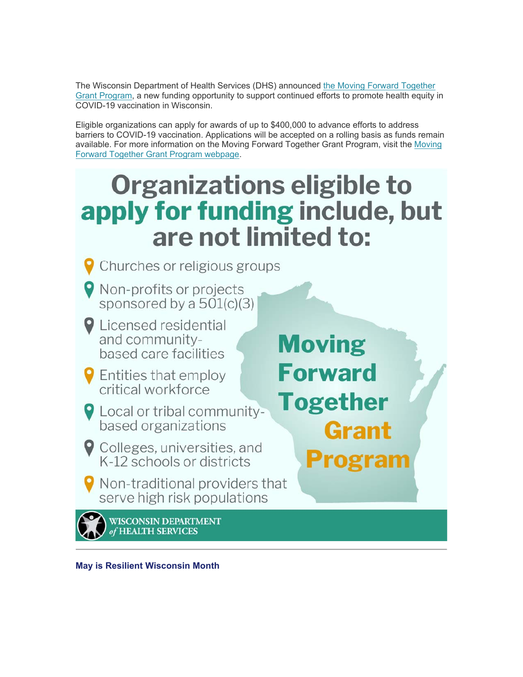The Wisconsin Department of Health Services (DHS) announced the Moving Forward Together Grant Program, a new funding opportunity to support continued efforts to promote health equity in COVID-19 vaccination in Wisconsin.

Eligible organizations can apply for awards of up to \$400,000 to advance efforts to address barriers to COVID-19 vaccination. Applications will be accepted on a rolling basis as funds remain available. For more information on the Moving Forward Together Grant Program, visit the Moving Forward Together Grant Program webpage.

# Organizations eligible to apply for funding include, but are not limited to:



**May is Resilient Wisconsin Month**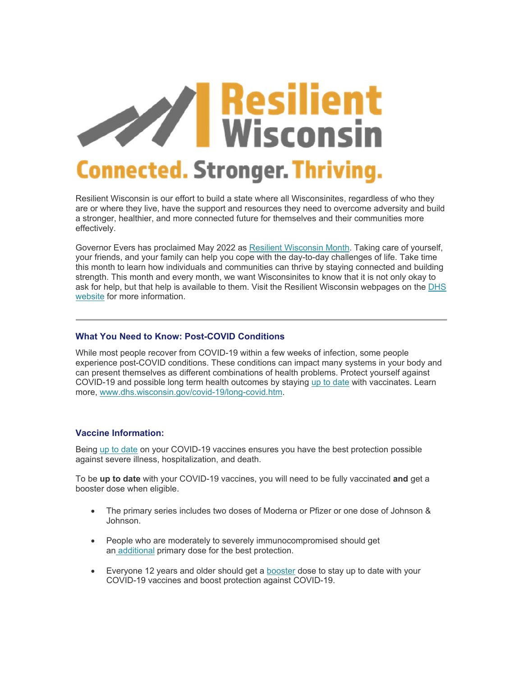

Resilient Wisconsin is our effort to build a state where all Wisconsinites, regardless of who they are or where they live, have the support and resources they need to overcome adversity and build a stronger, healthier, and more connected future for themselves and their communities more effectively.

Governor Evers has proclaimed May 2022 as Resilient Wisconsin Month. Taking care of yourself, your friends, and your family can help you cope with the day-to-day challenges of life. Take time this month to learn how individuals and communities can thrive by staying connected and building strength. This month and every month, we want Wisconsinites to know that it is not only okay to ask for help, but that help is available to them. Visit the Resilient Wisconsin webpages on the DHS website for more information.

### **What You Need to Know: Post-COVID Conditions**

While most people recover from COVID-19 within a few weeks of infection, some people experience post-COVID conditions. These conditions can impact many systems in your body and can present themselves as different combinations of health problems. Protect yourself against COVID-19 and possible long term health outcomes by staying up to date with vaccinates. Learn more, www.dhs.wisconsin.gov/covid-19/long-covid.htm.

# **Vaccine Information:**

Being up to date on your COVID-19 vaccines ensures you have the best protection possible against severe illness, hospitalization, and death.

To be **up to date** with your COVID-19 vaccines, you will need to be fully vaccinated **and** get a booster dose when eligible.

- The primary series includes two doses of Moderna or Pfizer or one dose of Johnson & Johnson.
- People who are moderately to severely immunocompromised should get an additional primary dose for the best protection.
- Everyone 12 years and older should get a booster dose to stay up to date with your COVID-19 vaccines and boost protection against COVID-19.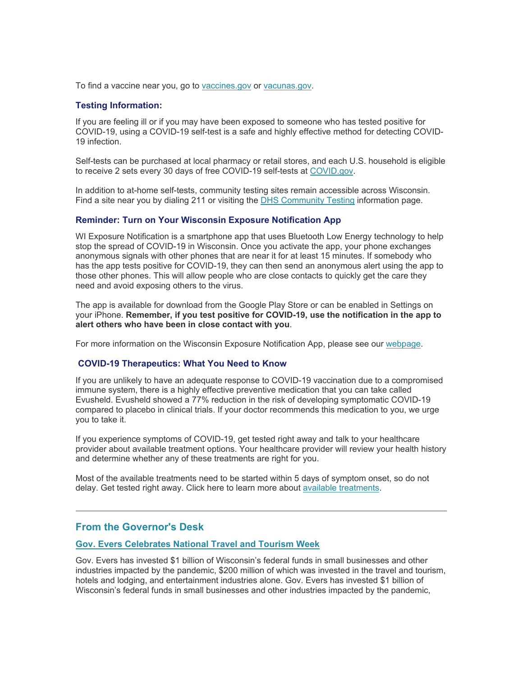To find a vaccine near you, go to vaccines.gov or vacunas.gov.

#### **Testing Information:**

If you are feeling ill or if you may have been exposed to someone who has tested positive for COVID-19, using a COVID-19 self-test is a safe and highly effective method for detecting COVID-19 infection.

Self-tests can be purchased at local pharmacy or retail stores, and each U.S. household is eligible to receive 2 sets every 30 days of free COVID-19 self-tests at COVID.gov.

In addition to at-home self-tests, community testing sites remain accessible across Wisconsin. Find a site near you by dialing 211 or visiting the DHS Community Testing information page.

#### **Reminder: Turn on Your Wisconsin Exposure Notification App**

WI Exposure Notification is a smartphone app that uses Bluetooth Low Energy technology to help stop the spread of COVID-19 in Wisconsin. Once you activate the app, your phone exchanges anonymous signals with other phones that are near it for at least 15 minutes. If somebody who has the app tests positive for COVID-19, they can then send an anonymous alert using the app to those other phones. This will allow people who are close contacts to quickly get the care they need and avoid exposing others to the virus.

The app is available for download from the Google Play Store or can be enabled in Settings on your iPhone. **Remember, if you test positive for COVID-19, use the notification in the app to alert others who have been in close contact with you**.

For more information on the Wisconsin Exposure Notification App, please see our webpage.

#### **COVID-19 Therapeutics: What You Need to Know**

If you are unlikely to have an adequate response to COVID-19 vaccination due to a compromised immune system, there is a highly effective preventive medication that you can take called Evusheld. Evusheld showed a 77% reduction in the risk of developing symptomatic COVID-19 compared to placebo in clinical trials. If your doctor recommends this medication to you, we urge you to take it.

If you experience symptoms of COVID-19, get tested right away and talk to your healthcare provider about available treatment options. Your healthcare provider will review your health history and determine whether any of these treatments are right for you.

Most of the available treatments need to be started within 5 days of symptom onset, so do not delay. Get tested right away. Click here to learn more about available treatments.

# **From the Governor's Desk**

#### **Gov. Evers Celebrates National Travel and Tourism Week**

Gov. Evers has invested \$1 billion of Wisconsin's federal funds in small businesses and other industries impacted by the pandemic, \$200 million of which was invested in the travel and tourism, hotels and lodging, and entertainment industries alone. Gov. Evers has invested \$1 billion of Wisconsin's federal funds in small businesses and other industries impacted by the pandemic,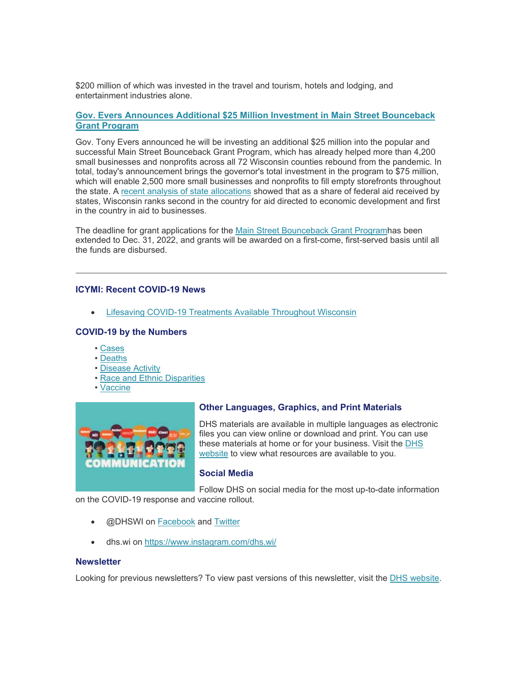\$200 million of which was invested in the travel and tourism, hotels and lodging, and entertainment industries alone.

### **Gov. Evers Announces Additional \$25 Million Investment in Main Street Bounceback Grant Program**

Gov. Tony Evers announced he will be investing an additional \$25 million into the popular and successful Main Street Bounceback Grant Program, which has already helped more than 4,200 small businesses and nonprofits across all 72 Wisconsin counties rebound from the pandemic. In total, today's announcement brings the governor's total investment in the program to \$75 million, which will enable 2,500 more small businesses and nonprofits to fill empty storefronts throughout the state. A recent analysis of state allocations showed that as a share of federal aid received by states, Wisconsin ranks second in the country for aid directed to economic development and first in the country in aid to businesses.

The deadline for grant applications for the Main Street Bounceback Grant Programhas been extended to Dec. 31, 2022, and grants will be awarded on a first-come, first-served basis until all the funds are disbursed.

#### **ICYMI: Recent COVID-19 News**

Lifesaving COVID-19 Treatments Available Throughout Wisconsin

# **COVID-19 by the Numbers**

- Cases
- Deaths
- Disease Activity
- Race and Ethnic Disparities
- Vaccine



# **Other Languages, Graphics, and Print Materials**

DHS materials are available in multiple languages as electronic files you can view online or download and print. You can use these materials at home or for your business. Visit the DHS website to view what resources are available to you.

# **Social Media**

Follow DHS on social media for the most up-to-date information

on the COVID-19 response and vaccine rollout.

- @DHSWI on Facebook and Twitter
- dhs.wi on https://www.instagram.com/dhs.wi/

#### **Newsletter**

Looking for previous newsletters? To view past versions of this newsletter, visit the DHS website.